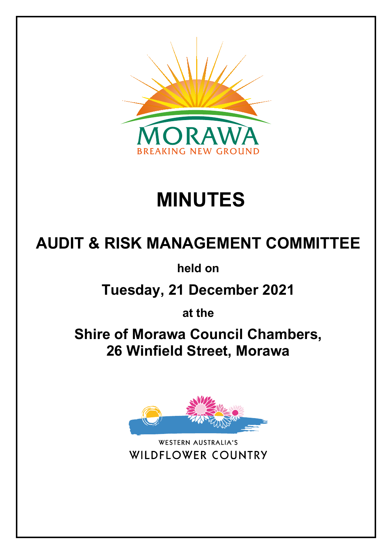

# **MINUTES**

## **AUDIT & RISK MANAGEMENT COMMITTEE**

**held on**

**Tuesday, 21 December 2021**

**at the**

**Shire of Morawa Council Chambers, 26 Winfield Street, Morawa**



WESTERN AUSTRALIA'S **WILDFLOWER COUNTRY**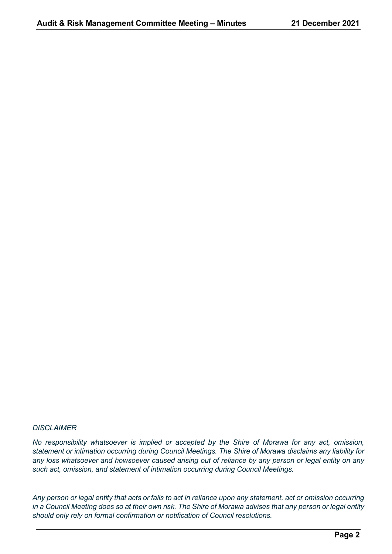#### *DISCLAIMER*

*No responsibility whatsoever is implied or accepted by the Shire of Morawa for any act, omission, statement or intimation occurring during Council Meetings. The Shire of Morawa disclaims any liability for any loss whatsoever and howsoever caused arising out of reliance by any person or legal entity on any such act, omission, and statement of intimation occurring during Council Meetings.*

*Any person or legal entity that acts or fails to act in reliance upon any statement, act or omission occurring in a Council Meeting does so at their own risk. The Shire of Morawa advises that any person or legal entity should only rely on formal confirmation or notification of Council resolutions.*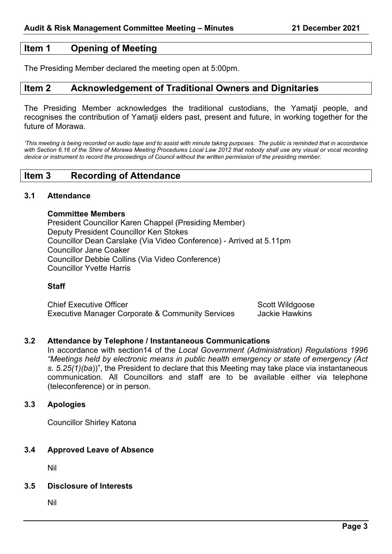## **Item 1 Opening of Meeting**

The Presiding Member declared the meeting open at 5:00pm.

## **Item 2 Acknowledgement of Traditional Owners and Dignitaries**

The Presiding Member acknowledges the traditional custodians, the Yamatji people, and recognises the contribution of Yamatji elders past, present and future, in working together for the future of Morawa.

'This meeting is being recorded on audio tape and to assist with minute taking purposes. The public is reminded that in accordance *with Section 6.16 of the Shire of Morawa Meeting Procedures Local Law 2012 that nobody shall use any visual or vocal recording device or instrument to record the proceedings of Council without the written permission of the presiding member.*

## **Item 3 Recording of Attendance**

## **3.1 Attendance**

#### **Committee Members**

President Councillor Karen Chappel (Presiding Member) Deputy President Councillor Ken Stokes Councillor Dean Carslake (Via Video Conference) - Arrived at 5.11pm Councillor Jane Coaker Councillor Debbie Collins (Via Video Conference) Councillor Yvette Harris

## **Staff**

Chief Executive Officer<br>
Executive Manager Corporate & Community Services and Jackie Hawkins Executive Manager Corporate & Community Services

## **3.2 Attendance by Telephone / Instantaneous Communications**

In accordance with section14 of the *Local Government (Administration) Regulations 1996 "Meetings held by electronic means in public health emergency or state of emergency (Act s. 5.25(1)(ba*))", the President to declare that this Meeting may take place via instantaneous communication. All Councillors and staff are to be available either via telephone (teleconference) or in person.

## **3.3 Apologies**

Councillor Shirley Katona

## **3.4 Approved Leave of Absence**

Nil

## **3.5 Disclosure of Interests**

Nil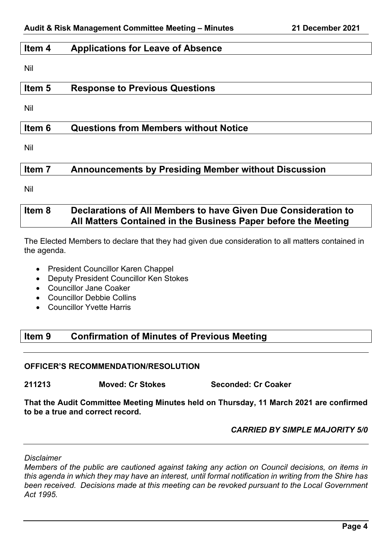## **Item 4 Applications for Leave of Absence**

Nil

## **Item 5 Response to Previous Questions**

Nil

## **Item 6 Questions from Members without Notice**

Nil

## **Item 7 Announcements by Presiding Member without Discussion**

Nil

## **Item 8 Declarations of All Members to have Given Due Consideration to All Matters Contained in the Business Paper before the Meeting**

The Elected Members to declare that they had given due consideration to all matters contained in the agenda.

- President Councillor Karen Chappel
- Deputy President Councillor Ken Stokes
- Councillor Jane Coaker
- Councillor Debbie Collins
- Councillor Yvette Harris

## **Item 9 Confirmation of Minutes of Previous Meeting**

## **OFFICER'S RECOMMENDATION/RESOLUTION**

**211213 Moved: Cr Stokes Seconded: Cr Coaker**

**That the Audit Committee Meeting Minutes held on Thursday, 11 March 2021 are confirmed to be a true and correct record.**

## *CARRIED BY SIMPLE MAJORITY 5/0*

*Disclaimer*

*Members of the public are cautioned against taking any action on Council decisions, on items in this agenda in which they may have an interest, until formal notification in writing from the Shire has been received. Decisions made at this meeting can be revoked pursuant to the Local Government Act 1995.*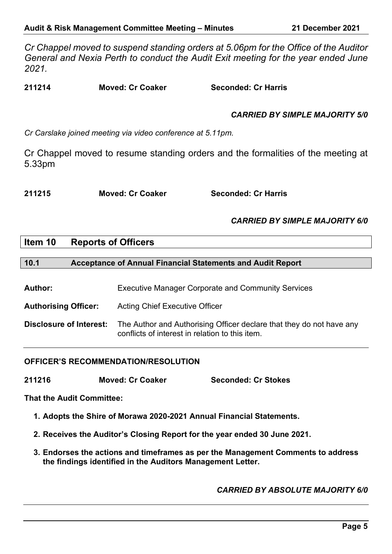*Cr Chappel moved to suspend standing orders at 5.06pm for the Office of the Auditor General and Nexia Perth to conduct the Audit Exit meeting for the year ended June 2021.*

**211214 Moved: Cr Coaker Seconded: Cr Harris**

## *CARRIED BY SIMPLE MAJORITY 5/0*

*Cr Carslake joined meeting via video conference at 5.11pm.*

Cr Chappel moved to resume standing orders and the formalities of the meeting at 5.33pm

**211215 Moved: Cr Coaker Seconded: Cr Harris**

## *CARRIED BY SIMPLE MAJORITY 6/0*

## **Item 10 Reports of Officers**

**10.1 Acceptance of Annual Financial Statements and Audit Report**

| <b>Author:</b> | <b>Executive Manager Corporate and Community Services</b> |  |
|----------------|-----------------------------------------------------------|--|
|----------------|-----------------------------------------------------------|--|

**Authorising Officer:** Acting Chief Executive Officer

**Disclosure of Interest:** The Author and Authorising Officer declare that they do not have any conflicts of interest in relation to this item.

## **OFFICER'S RECOMMENDATION/RESOLUTION**

**211216 Moved: Cr Coaker Seconded: Cr Stokes**

**That the Audit Committee:**

**1. Adopts the Shire of Morawa 2020-2021 Annual Financial Statements.**

**2. Receives the Auditor's Closing Report for the year ended 30 June 2021.**

**3. Endorses the actions and timeframes as per the Management Comments to address the findings identified in the Auditors Management Letter.**

*CARRIED BY ABSOLUTE MAJORITY 6/0*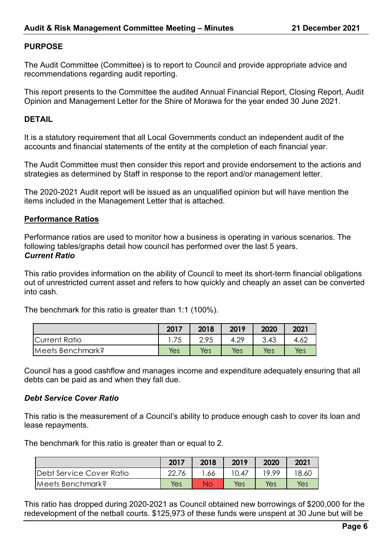## **PURPOSE**

The Audit Committee (Committee) is to report to Council and provide appropriate advice and recommendations regarding audit reporting.

This report presents to the Committee the audited Annual Financial Report, Closing Report, Audit Opinion and Management Letter for the Shire of Morawa for the year ended 30 June 2021.

#### **DETAIL**

It is a statutory requirement that all Local Governments conduct an independent audit of the accounts and financial statements of the entity at the completion of each financial year.

The Audit Committee must then consider this report and provide endorsement to the actions and strategies as determined by Staff in response to the report and/or management letter.

The 2020-2021 Audit report will be issued as an unqualified opinion but will have mention the items included in the Management Letter that is attached.

## **Performance Ratios**

Performance ratios are used to monitor how a business is operating in various scenarios. The following tables/graphs detail how council has performed over the last 5 years. *Current Ratio*

This ratio provides information on the ability of Council to meet its short-term financial obligations out of unrestricted current asset and refers to how quickly and cheaply an asset can be converted into cash.

The benchmark for this ratio is greater than 1:1 (100%).

|                  | 2017 | 2018       | 2019 | 2020 | 2021 |
|------------------|------|------------|------|------|------|
| Current Ratio    |      | 2.95       | 4.29 | 3.43 | 4.62 |
| Meets Benchmark? | Yes  | <b>Yes</b> | Yes  | Yes  | Yes  |

Council has a good cashflow and manages income and expenditure adequately ensuring that all debts can be paid as and when they fall due.

#### *Debt Service Cover Ratio*

This ratio is the measurement of a Council's ability to produce enough cash to cover its loan and lease repayments.

The benchmark for this ratio is greater than or equal to 2.

|                          | 2017 | 2018 | 2019  | 2020  | 2021  |
|--------------------------|------|------|-------|-------|-------|
| Debt Service Cover Ratio | ററ   | .66  | 10.47 | 19 99 | 18.60 |
| Meets Benchmark?         | Yes  | Nο   | Yes   | Yes   | Yes   |

This ratio has dropped during 2020-2021 as Council obtained new borrowings of \$200,000 for the redevelopment of the netball courts. \$125,973 of these funds were unspent at 30 June but will be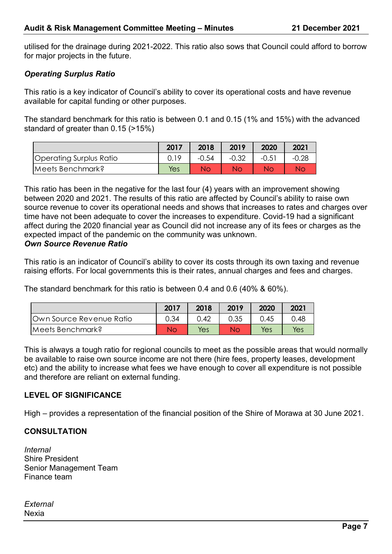utilised for the drainage during 2021-2022. This ratio also sows that Council could afford to borrow for major projects in the future.

## *Operating Surplus Ratio*

This ratio is a key indicator of Council's ability to cover its operational costs and have revenue available for capital funding or other purposes.

The standard benchmark for this ratio is between 0.1 and 0.15 (1% and 15%) with the advanced standard of greater than 0.15 (>15%)

|                         | 2017       | 2018    | 2019    | 2020    | 2021    |
|-------------------------|------------|---------|---------|---------|---------|
| Operating Surplus Ratio |            | $-0.54$ | $-0.32$ | $-0.51$ | $-0.28$ |
| Meets Benchmark?        | <b>Yes</b> | Nο      | Nο      | Nс      | Νc      |

This ratio has been in the negative for the last four (4) years with an improvement showing between 2020 and 2021. The results of this ratio are affected by Council's ability to raise own source revenue to cover its operational needs and shows that increases to rates and charges over time have not been adequate to cover the increases to expenditure. Covid-19 had a significant affect during the 2020 financial year as Council did not increase any of its fees or charges as the expected impact of the pandemic on the community was unknown. *Own Source Revenue Ratio*

This ratio is an indicator of Council's ability to cover its costs through its own taxing and revenue raising efforts. For local governments this is their rates, annual charges and fees and charges.

The standard benchmark for this ratio is between 0.4 and 0.6 (40% & 60%).

|                                 | 2017 | 2018 | 2019 | 2020 | 2021 |
|---------------------------------|------|------|------|------|------|
| <b>Own Source Revenue Ratio</b> | 0.34 | 0.42 | 0.35 | 0.45 | 0.48 |
| Meets Benchmark?                | Νo   | Yes  | Nο   | Yes  | Yes  |

This is always a tough ratio for regional councils to meet as the possible areas that would normally be available to raise own source income are not there (hire fees, property leases, development etc) and the ability to increase what fees we have enough to cover all expenditure is not possible and therefore are reliant on external funding.

## **LEVEL OF SIGNIFICANCE**

High – provides a representation of the financial position of the Shire of Morawa at 30 June 2021.

## **CONSULTATION**

*Internal* Shire President Senior Management Team Finance team

*External* Nexia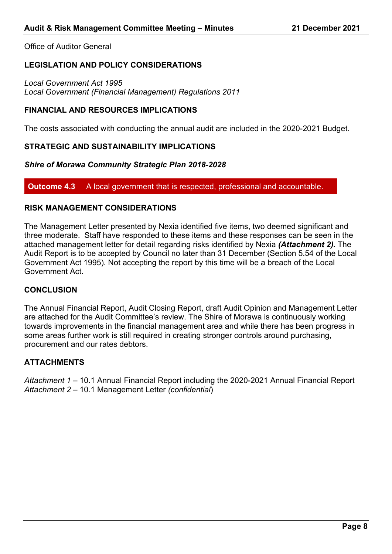Office of Auditor General

## **LEGISLATION AND POLICY CONSIDERATIONS**

*Local Government Act 1995 Local Government (Financial Management) Regulations 2011*

### **FINANCIAL AND RESOURCES IMPLICATIONS**

The costs associated with conducting the annual audit are included in the 2020-2021 Budget.

#### **STRATEGIC AND SUSTAINABILITY IMPLICATIONS**

#### *Shire of Morawa Community Strategic Plan 2018-2028*

#### **Outcome 4.3** A local government that is respected, professional and accountable.

## **RISK MANAGEMENT CONSIDERATIONS**

The Management Letter presented by Nexia identified five items, two deemed significant and three moderate. Staff have responded to these items and these responses can be seen in the attached management letter for detail regarding risks identified by Nexia *(Attachment 2).* The Audit Report is to be accepted by Council no later than 31 December (Section 5.54 of the Local Government Act 1995). Not accepting the report by this time will be a breach of the Local Government Act.

## **CONCLUSION**

The Annual Financial Report, Audit Closing Report, draft Audit Opinion and Management Letter are attached for the Audit Committee's review. The Shire of Morawa is continuously working towards improvements in the financial management area and while there has been progress in some areas further work is still required in creating stronger controls around purchasing, procurement and our rates debtors.

#### **ATTACHMENTS**

*Attachment 1* – 10.1 Annual Financial Report including the 2020-2021 Annual Financial Report *Attachment 2* – 10.1 Management Letter *(confidential*)